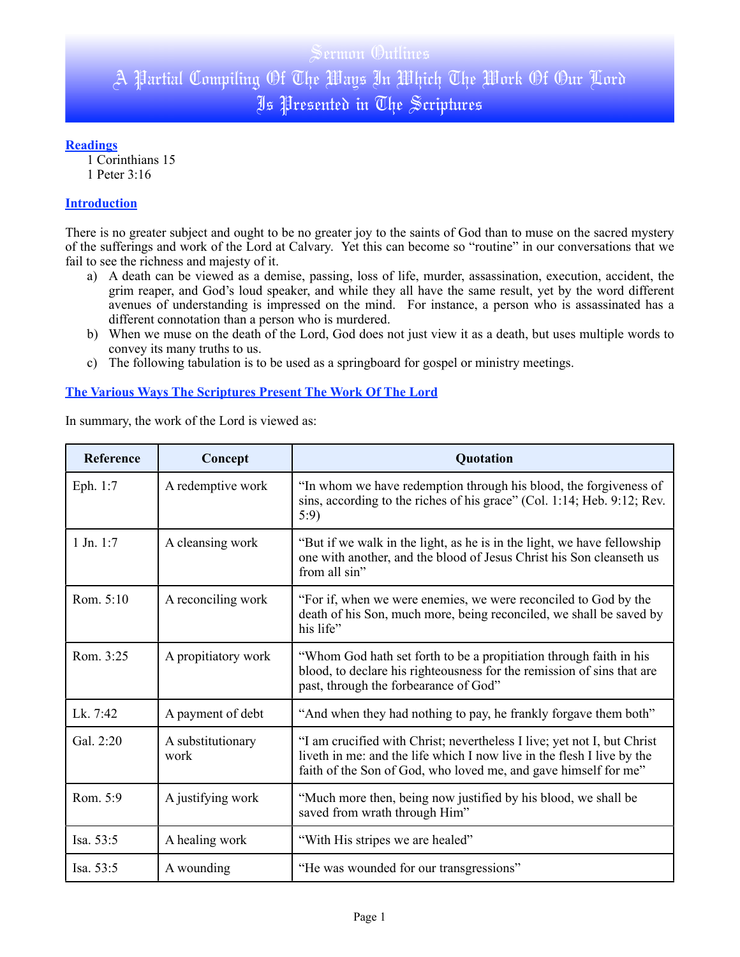### **Readings**

1 Corinthians 15 1 Peter 3:16

### **Introduction**

There is no greater subject and ought to be no greater joy to the saints of God than to muse on the sacred mystery of the sufferings and work of the Lord at Calvary. Yet this can become so "routine" in our conversations that we fail to see the richness and majesty of it.

- a) A death can be viewed as a demise, passing, loss of life, murder, assassination, execution, accident, the grim reaper, and God's loud speaker, and while they all have the same result, yet by the word different avenues of understanding is impressed on the mind. For instance, a person who is assassinated has a different connotation than a person who is murdered.
- b) When we muse on the death of the Lord, God does not just view it as a death, but uses multiple words to convey its many truths to us.
- c) The following tabulation is to be used as a springboard for gospel or ministry meetings.

## **The Various Ways The Scriptures Present The Work Of The Lord**

In summary, the work of the Lord is viewed as:

| Reference     | Concept                   | Quotation                                                                                                                                                                                                            |
|---------------|---------------------------|----------------------------------------------------------------------------------------------------------------------------------------------------------------------------------------------------------------------|
| Eph. 1:7      | A redemptive work         | "In whom we have redemption through his blood, the forgiveness of<br>sins, according to the riches of his grace" (Col. 1:14; Heb. 9:12; Rev.<br>5:9                                                                  |
| $1$ Jn. $1:7$ | A cleansing work          | "But if we walk in the light, as he is in the light, we have fellowship<br>one with another, and the blood of Jesus Christ his Son cleanseth us<br>from all sin"                                                     |
| Rom. 5:10     | A reconciling work        | "For if, when we were enemies, we were reconciled to God by the<br>death of his Son, much more, being reconciled, we shall be saved by<br>his life"                                                                  |
| Rom. 3:25     | A propitiatory work       | "Whom God hath set forth to be a propitiation through faith in his<br>blood, to declare his righteousness for the remission of sins that are<br>past, through the forbearance of God"                                |
| Lk. 7:42      | A payment of debt         | "And when they had nothing to pay, he frankly forgave them both"                                                                                                                                                     |
| Gal. 2:20     | A substitutionary<br>work | "I am crucified with Christ; nevertheless I live; yet not I, but Christ<br>liveth in me: and the life which I now live in the flesh I live by the<br>faith of the Son of God, who loved me, and gave himself for me" |
| Rom. 5:9      | A justifying work         | "Much more then, being now justified by his blood, we shall be<br>saved from wrath through Him"                                                                                                                      |
| Isa. $53:5$   | A healing work            | "With His stripes we are healed"                                                                                                                                                                                     |
| Isa. 53:5     | A wounding                | "He was wounded for our transgressions"                                                                                                                                                                              |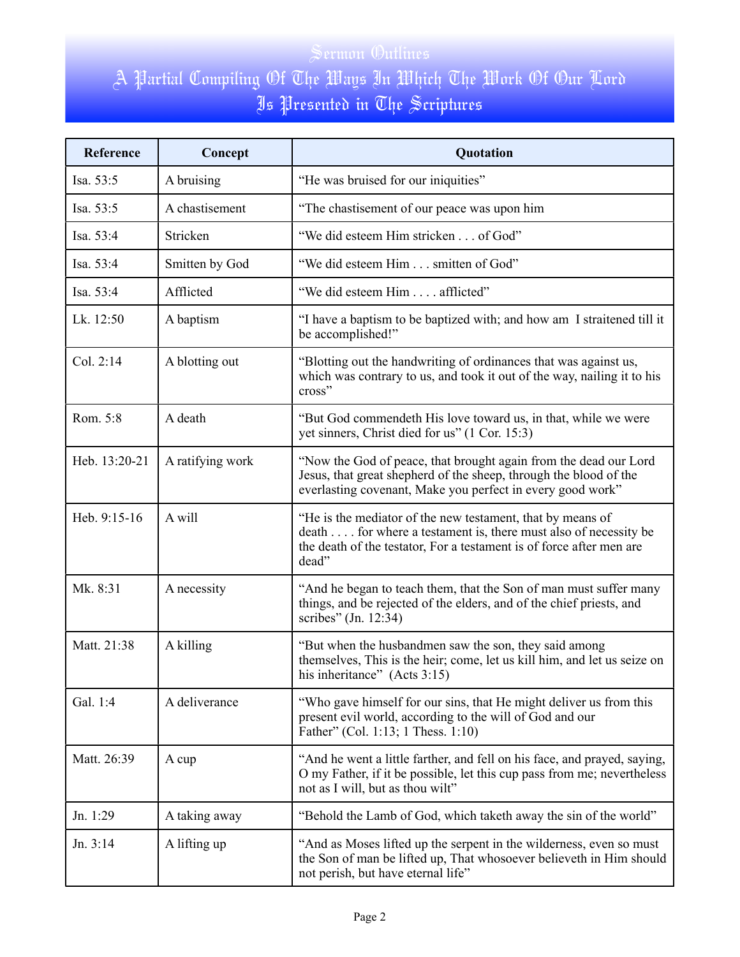| Reference     | Concept          | Quotation                                                                                                                                                                                                      |
|---------------|------------------|----------------------------------------------------------------------------------------------------------------------------------------------------------------------------------------------------------------|
| Isa. 53:5     | A bruising       | "He was bruised for our iniquities"                                                                                                                                                                            |
| Isa. 53:5     | A chastisement   | "The chastisement of our peace was upon him                                                                                                                                                                    |
| Isa. 53:4     | Stricken         | "We did esteem Him stricken of God"                                                                                                                                                                            |
| Isa. 53:4     | Smitten by God   | "We did esteem Him smitten of God"                                                                                                                                                                             |
| Isa. 53:4     | Afflicted        | "We did esteem Him afflicted"                                                                                                                                                                                  |
| Lk. 12:50     | A baptism        | "I have a baptism to be baptized with; and how am I straitened till it<br>be accomplished!"                                                                                                                    |
| Col. 2:14     | A blotting out   | "Blotting out the handwriting of ordinances that was against us,<br>which was contrary to us, and took it out of the way, nailing it to his<br>cross"                                                          |
| Rom. 5:8      | A death          | "But God commendeth His love toward us, in that, while we were<br>yet sinners, Christ died for us" (1 Cor. 15:3)                                                                                               |
| Heb. 13:20-21 | A ratifying work | "Now the God of peace, that brought again from the dead our Lord<br>Jesus, that great shepherd of the sheep, through the blood of the<br>everlasting covenant, Make you perfect in every good work"            |
| Heb. 9:15-16  | A will           | "He is the mediator of the new testament, that by means of<br>death for where a testament is, there must also of necessity be<br>the death of the testator, For a testament is of force after men are<br>dead" |
| Mk. 8:31      | A necessity      | "And he began to teach them, that the Son of man must suffer many<br>things, and be rejected of the elders, and of the chief priests, and<br>scribes" (Jn. 12:34)                                              |
| Matt. 21:38   | A killing        | "But when the husbandmen saw the son, they said among<br>themselves, This is the heir; come, let us kill him, and let us seize on<br>his inheritance" (Acts 3:15)                                              |
| Gal. 1:4      | A deliverance    | "Who gave himself for our sins, that He might deliver us from this<br>present evil world, according to the will of God and our<br>Father" (Col. 1:13; 1 Thess. 1:10)                                           |
| Matt. 26:39   | A cup            | "And he went a little farther, and fell on his face, and prayed, saying,<br>O my Father, if it be possible, let this cup pass from me; nevertheless<br>not as I will, but as thou wilt"                        |
| Jn. 1:29      | A taking away    | "Behold the Lamb of God, which taketh away the sin of the world"                                                                                                                                               |
| Jn. 3:14      | A lifting up     | "And as Moses lifted up the serpent in the wilderness, even so must<br>the Son of man be lifted up, That whosoever believeth in Him should<br>not perish, but have eternal life"                               |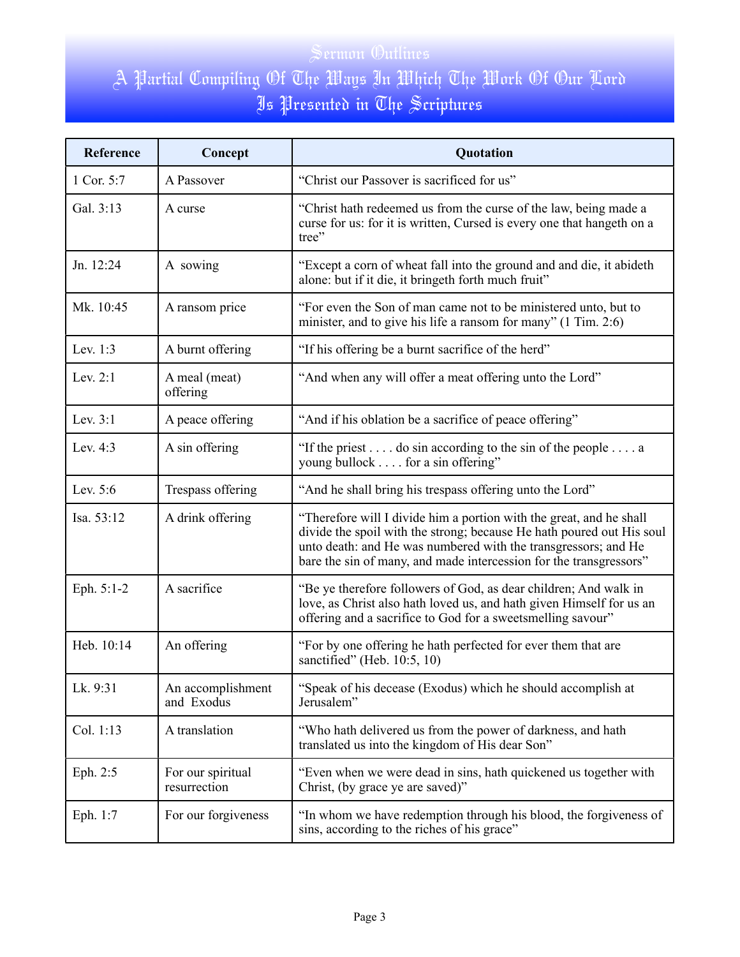| Reference  | Concept                           | Quotation                                                                                                                                                                                                                                                                            |
|------------|-----------------------------------|--------------------------------------------------------------------------------------------------------------------------------------------------------------------------------------------------------------------------------------------------------------------------------------|
| 1 Cor. 5:7 | A Passover                        | "Christ our Passover is sacrificed for us"                                                                                                                                                                                                                                           |
| Gal. 3:13  | A curse                           | "Christ hath redeemed us from the curse of the law, being made a<br>curse for us: for it is written, Cursed is every one that hangeth on a<br>tree"                                                                                                                                  |
| Jn. 12:24  | A sowing                          | "Except a corn of wheat fall into the ground and and die, it abideth<br>alone: but if it die, it bringeth forth much fruit"                                                                                                                                                          |
| Mk. 10:45  | A ransom price                    | "For even the Son of man came not to be ministered unto, but to<br>minister, and to give his life a ransom for many" (1 Tim. 2:6)                                                                                                                                                    |
| Lev. 1:3   | A burnt offering                  | "If his offering be a burnt sacrifice of the herd"                                                                                                                                                                                                                                   |
| Lev. $2:1$ | A meal (meat)<br>offering         | "And when any will offer a meat offering unto the Lord"                                                                                                                                                                                                                              |
| Lev. $3:1$ | A peace offering                  | "And if his oblation be a sacrifice of peace offering"                                                                                                                                                                                                                               |
| Lev. 4:3   | A sin offering                    | "If the priest do sin according to the sin of the people a<br>young bullock for a sin offering"                                                                                                                                                                                      |
| Lev. $5:6$ | Trespass offering                 | "And he shall bring his trespass offering unto the Lord"                                                                                                                                                                                                                             |
| Isa. 53:12 | A drink offering                  | "Therefore will I divide him a portion with the great, and he shall<br>divide the spoil with the strong; because He hath poured out His soul<br>unto death: and He was numbered with the transgressors; and He<br>bare the sin of many, and made intercession for the transgressors" |
| Eph. 5:1-2 | A sacrifice                       | "Be ye therefore followers of God, as dear children; And walk in<br>love, as Christ also hath loved us, and hath given Himself for us an<br>offering and a sacrifice to God for a sweetsmelling savour"                                                                              |
| Heb. 10:14 | An offering                       | "For by one offering he hath perfected for ever them that are<br>sanctified" (Heb. 10:5, 10)                                                                                                                                                                                         |
| Lk. 9:31   | An accomplishment<br>and Exodus   | "Speak of his decease (Exodus) which he should accomplish at<br>Jerusalem"                                                                                                                                                                                                           |
| Col. 1:13  | A translation                     | "Who hath delivered us from the power of darkness, and hath<br>translated us into the kingdom of His dear Son"                                                                                                                                                                       |
| Eph. 2:5   | For our spiritual<br>resurrection | "Even when we were dead in sins, hath quickened us together with<br>Christ, (by grace ye are saved)"                                                                                                                                                                                 |
| Eph. 1:7   | For our forgiveness               | "In whom we have redemption through his blood, the forgiveness of<br>sins, according to the riches of his grace"                                                                                                                                                                     |